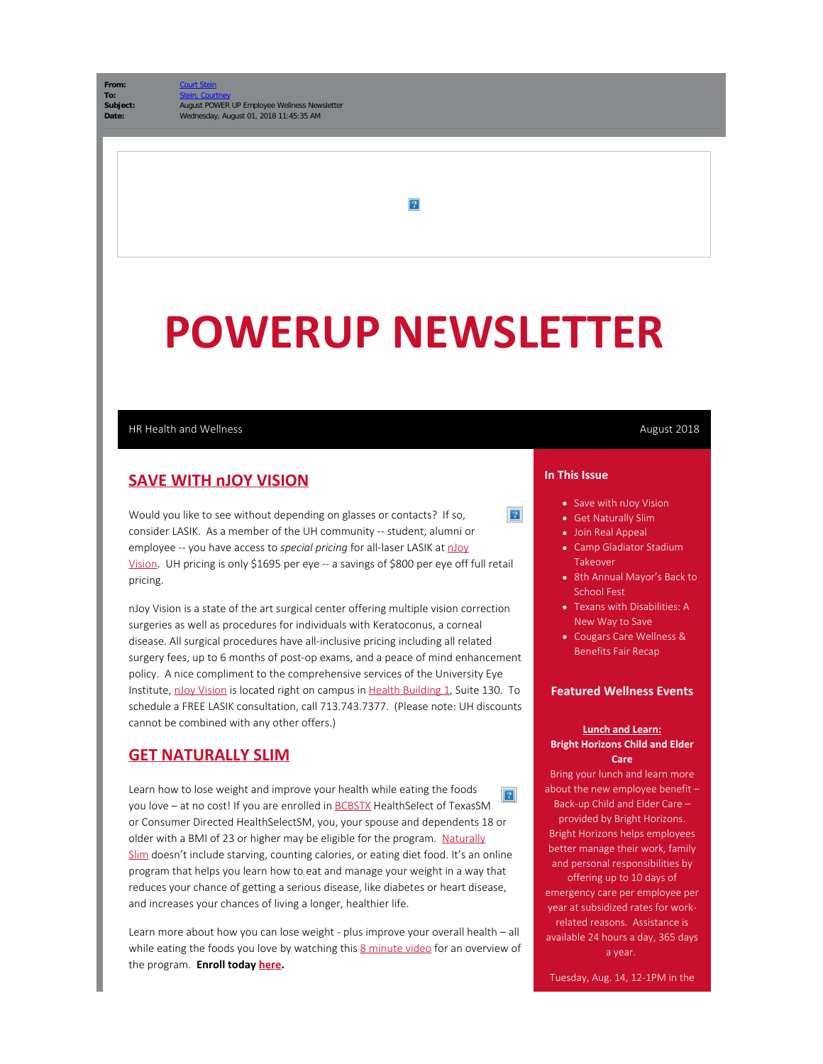**From:** 

 $|2|$ 

# **POWERUP NEWSLETTER**

#### HR Health and Wellness **August 2018 August 2018**

# **SAVE WITH nJOY VISION**

 $\boxed{?}$ Would you like to see without depending on glasses or contacts? If so, consider LASIK. As a member of the UH community -- student, alumni or employee -- you have access to *special pricing* for all-laser LASIK at nloy [Vision](https://cloudapps.uh.edu/sendit/l/aQWIL5Hvz8MebkJzITqY6A/HBNvQsS3LiQpW8x1hMjHQA/VQh5B4qMuZnll9tpEUENoA). UH pricing is only \$1695 per eye -- a savings of \$800 per eye off full retail pricing.

nJoy Vision is a state of the art surgical center offering multiple vision correction surgeries as well as procedures for individuals with Keratoconus, a corneal disease. All surgical procedures have all-inclusive pricing including all related surgery fees, up to 6 months of post-op exams, and a peace of mind enhancement policy. A nice compliment to the comprehensive services of the University Eye Institute, [nJoy Vision](https://cloudapps.uh.edu/sendit/l/aQWIL5Hvz8MebkJzITqY6A/HBNvQsS3LiQpW8x1hMjHQA/VQh5B4qMuZnll9tpEUENoA) is located right on campus in [Health Building 1](https://cloudapps.uh.edu/sendit/l/aQWIL5Hvz8MebkJzITqY6A/q8gn80AfdV8taH0oqx9i2A/VQh5B4qMuZnll9tpEUENoA), Suite 130. To schedule a FREE LASIK consultation, call 713.743.7377. (Please note: UH discounts cannot be combined with any other offers.)

# **GET NATURALLY SLIM**

Learn how to lose weight and improve your health while eating the foods you love - at no cost! If you are enrolled in **[BCBSTX](https://cloudapps.uh.edu/sendit/l/aQWIL5Hvz8MebkJzITqY6A/JH2UFsXL6OXON8r2iOyJxQ/VQh5B4qMuZnll9tpEUENoA)** HealthSelect of TexasSM or Consumer Directed HealthSelectSM, you, your spouse and dependents 18 or older with a BMI of 23 or higher may be eligible for the program. [Naturally](https://cloudapps.uh.edu/sendit/l/aQWIL5Hvz8MebkJzITqY6A/BvswseSUNB5QP4T4fNhMcg/VQh5B4qMuZnll9tpEUENoA) [Slim](https://cloudapps.uh.edu/sendit/l/aQWIL5Hvz8MebkJzITqY6A/BvswseSUNB5QP4T4fNhMcg/VQh5B4qMuZnll9tpEUENoA) doesn't include starving, counting calories, or eating diet food. It's an online program that helps you learn how to eat and manage your weight in a way that reduces your chance of getting a serious disease, like diabetes or heart disease, and increases your chances of living a longer, healthier life.

Learn more about how you can lose weight - plus improve your overall health – all while eating the foods you love by watching this [8 minute video](https://cloudapps.uh.edu/sendit/l/aQWIL5Hvz8MebkJzITqY6A/NMngLSYEBl1kD05fNY946Q/VQh5B4qMuZnll9tpEUENoA) for an overview of the program. **Enroll today [here](https://cloudapps.uh.edu/sendit/l/aQWIL5Hvz8MebkJzITqY6A/4A6ihXEZgioddKZ4nsJuUA/VQh5B4qMuZnll9tpEUENoA).**

#### **In This Issue**

- Save with nJoy Vision
- Get Naturally Slim
- Join Real Appeal
- Camp Gladiator Stadium Takeover
- 8th Annual Mayor's Back to School Fest
- Texans with Disabilities: A New Way to Save
- Cougars Care Wellness & Benefits Fair Recap

#### **Featured Wellness Events**

#### **Lunch and Learn: Bright Horizons Child and Elder Care**

Bring your lunch and learn more about the new employee benefit – Back-up Child and Elder Care – provided by Bright Horizons. Bright Horizons helps employees better manage their work, family and personal responsibilities by offering up to 10 days of emergency care per employee per year at subsidized rates for workrelated reasons. Assistance is available 24 hours a day, 365 days a year.

Tuesday, Aug. 14, 12-1PM in the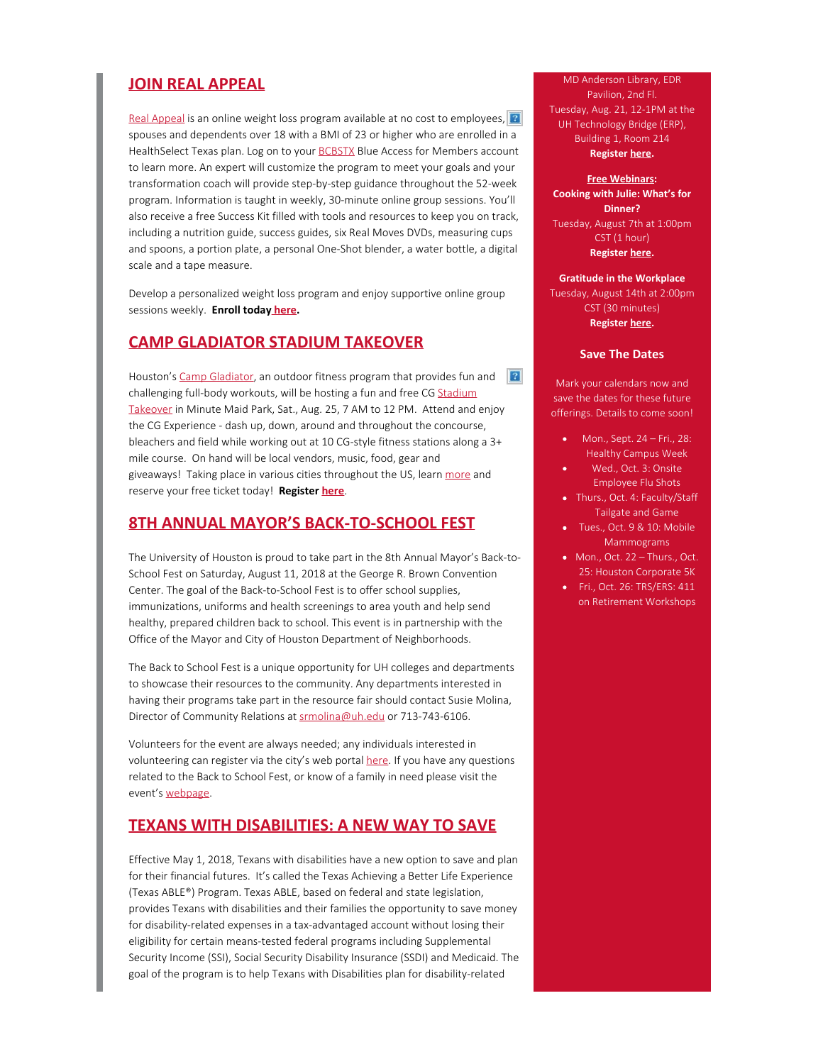### **JOIN REAL APPEAL**

[Real Appeal](https://cloudapps.uh.edu/sendit/l/aQWIL5Hvz8MebkJzITqY6A/UPudX9E6Im2BHblsa2RPVg/VQh5B4qMuZnll9tpEUENoA) is an online weight loss program available at no cost to employees, **2** spouses and dependents over 18 with a BMI of 23 or higher who are enrolled in a HealthSelect Texas plan. Log on to your **[BCBSTX](https://cloudapps.uh.edu/sendit/l/aQWIL5Hvz8MebkJzITqY6A/JH2UFsXL6OXON8r2iOyJxQ/VQh5B4qMuZnll9tpEUENoA)** Blue Access for Members account to learn more. An expert will customize the program to meet your goals and your transformation coach will provide step-by-step guidance throughout the 52-week program. Information is taught in weekly, 30-minute online group sessions. You'll also receive a free Success Kit filled with tools and resources to keep you on track, including a nutrition guide, success guides, six Real Moves DVDs, measuring cups and spoons, a portion plate, a personal One-Shot blender, a water bottle, a digital scale and a tape measure.

Develop a personalized weight loss program and enjoy supportive online group sessions weekly. **Enroll today [here.](https://cloudapps.uh.edu/sendit/l/aQWIL5Hvz8MebkJzITqY6A/UPudX9E6Im2BHblsa2RPVg/VQh5B4qMuZnll9tpEUENoA)**

## **CAMP GLADIATOR STADIUM TAKEOVER**

Houston's [Camp Gladiator](https://cloudapps.uh.edu/sendit/l/aQWIL5Hvz8MebkJzITqY6A/y8XjTF1GuGrrcglqwG0vSA/VQh5B4qMuZnll9tpEUENoA), an outdoor fitness program that provides fun and challenging full-body workouts, will be hosting a fun and free CG [Stadium](https://cloudapps.uh.edu/sendit/l/aQWIL5Hvz8MebkJzITqY6A/N763okXzY7892g3obYBfFMGf4w/VQh5B4qMuZnll9tpEUENoA) [Takeover](https://cloudapps.uh.edu/sendit/l/aQWIL5Hvz8MebkJzITqY6A/N763okXzY7892g3obYBfFMGf4w/VQh5B4qMuZnll9tpEUENoA) in Minute Maid Park, Sat., Aug. 25, 7 AM to 12 PM. Attend and enjoy the CG Experience - dash up, down, around and throughout the concourse, bleachers and field while working out at 10 CG-style fitness stations along a 3+ mile course. On hand will be local vendors, music, food, gear and giveaways! Taking place in various cities throughout the US, learn [more](https://cloudapps.uh.edu/sendit/l/aQWIL5Hvz8MebkJzITqY6A/N763okXzY7892g3obYBfFMGf4w/VQh5B4qMuZnll9tpEUENoA) and reserve your free ticket today! **Register [here](https://cloudapps.uh.edu/sendit/l/aQWIL5Hvz8MebkJzITqY6A/e2UWLlJ6mSME0pDlBn41bA/VQh5B4qMuZnll9tpEUENoA)**.

# **8TH ANNUAL MAYOR'S BACK-TO-SCHOOL FEST**

The University of Houston is proud to take part in the 8th Annual Mayor's Back-to-School Fest on Saturday, August 11, 2018 at the George R. Brown Convention Center. The goal of the Back-to-School Fest is to offer school supplies, immunizations, uniforms and health screenings to area youth and help send healthy, prepared children back to school. This event is in partnership with the Office of the Mayor and City of Houston Department of Neighborhoods.

The Back to School Fest is a unique opportunity for UH colleges and departments to showcase their resources to the community. Any departments interested in having their programs take part in the resource fair should contact Susie Molina, Director of Community Relations at [srmolina@uh.edu](mailto:srmolina@uh.edu) or 713-743-6106.

Volunteers for the event are always needed; any individuals interested in volunteering can register via the city's web portal [here](https://cloudapps.uh.edu/sendit/l/aQWIL5Hvz8MebkJzITqY6A/72iF7UhUv1hezxkwuhCdQA/VQh5B4qMuZnll9tpEUENoA). If you have any questions related to the Back to School Fest, or know of a family in need please visit the event's [webpage](https://cloudapps.uh.edu/sendit/l/aQWIL5Hvz8MebkJzITqY6A/aEcB6w55spkFrVsd2KYeAA/VQh5B4qMuZnll9tpEUENoA).

# **TEXANS WITH DISABILITIES: A NEW WAY TO SAVE**

Effective May 1, 2018, Texans with disabilities have a new option to save and plan for their financial futures. It's called the Texas Achieving a Better Life Experience (Texas ABLE®) Program. Texas ABLE, based on federal and state legislation, provides Texans with disabilities and their families the opportunity to save money for disability-related expenses in a tax-advantaged account without losing their eligibility for certain means-tested federal programs including Supplemental Security Income (SSI), Social Security Disability Insurance (SSDI) and Medicaid. The goal of the program is to help Texans with Disabilities plan for disability-related

MD Anderson Library, EDR Pavilion, 2nd Fl. Tuesday, Aug. 21, 12-1PM at the UH Technology Bridge (ERP), Building 1, Room 214 **Register [here](https://cloudapps.uh.edu/sendit/l/aQWIL5Hvz8MebkJzITqY6A/G1tOdnGqNk52Ko8usiDiJQ/VQh5B4qMuZnll9tpEUENoA).**

**Free Webinars: Cooking with Julie: What's for Dinner?** Tuesday, August 7th at 1:00pm CST (1 hour) **Register [here](https://cloudapps.uh.edu/sendit/l/aQWIL5Hvz8MebkJzITqY6A/n6cbkqG68Jo52FO763cpEk3g/VQh5B4qMuZnll9tpEUENoA).**

**Gratitude in the Workplace** Tuesday, August 14th at 2:00pm CST (30 minutes) **Register [here](https://cloudapps.uh.edu/sendit/l/aQWIL5Hvz8MebkJzITqY6A/ns59MvWZMr5A4fnjbd2o8A/VQh5B4qMuZnll9tpEUENoA).**

#### **Save The Dates**

Mark your calendars now and save the dates for these future offerings. Details to come soon!

- Mon., Sept. 24 Fri., 28: Healthy Campus Week
- Wed., Oct. 3: Onsite Employee Flu Shots
- Thurs., Oct. 4: Faculty/Staff Tailgate and Game
- Tues., Oct. 9 & 10: Mobile Mammograms
- $\bullet$  Mon., Oct. 22 Thurs., Oct. 25: Houston Corporate 5K
- Fri., Oct. 26: TRS/ERS: 411 on Retirement Workshops